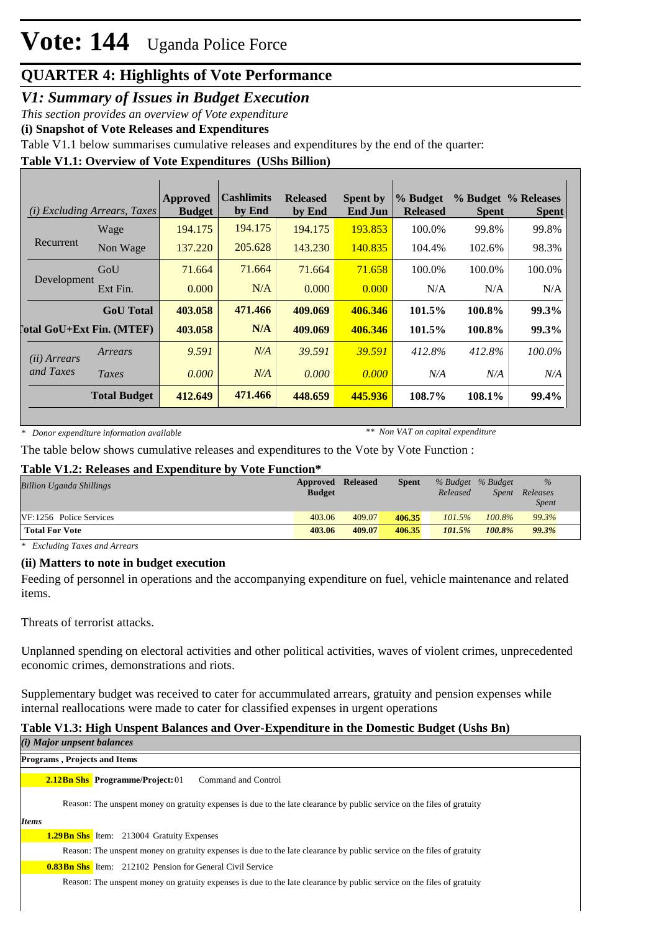### *V1: Summary of Issues in Budget Execution*

*This section provides an overview of Vote expenditure*

**(i) Snapshot of Vote Releases and Expenditures**

Table V1.1 below summarises cumulative releases and expenditures by the end of the quarter:

### **Table V1.1: Overview of Vote Expenditures (UShs Billion)**

| (i)                                | <i>Excluding Arrears, Taxes</i>  | Approved<br><b>Budget</b> | <b>Cashlimits</b><br>by End | <b>Released</b><br>by End | <b>Spent by</b><br><b>End Jun</b> | % Budget<br><b>Released</b> | <b>Spent</b> | % Budget % Releases<br><b>Spent</b> |
|------------------------------------|----------------------------------|---------------------------|-----------------------------|---------------------------|-----------------------------------|-----------------------------|--------------|-------------------------------------|
|                                    | Wage                             | 194.175                   | 194.175                     | 194.175                   | 193.853                           | 100.0%                      | 99.8%        | 99.8%                               |
| Recurrent                          | Non Wage                         | 137.220                   | 205.628                     | 143.230                   | 140.835                           | 104.4%                      | 102.6%       | 98.3%                               |
| Development                        | GoU                              | 71.664                    | 71.664                      | 71.664                    | 71.658                            | 100.0%                      | 100.0%       | 100.0%                              |
|                                    | Ext Fin.                         | 0.000                     | N/A                         | 0.000                     | 0.000                             | N/A                         | N/A          | N/A                                 |
|                                    | <b>GoU</b> Total                 | 403.058                   | 471.466                     | 409.069                   | 406.346                           | 101.5%                      | 100.8%       | 99.3%                               |
|                                    | <b>Total GoU+Ext Fin. (MTEF)</b> | 403.058                   | N/A                         | 409.069                   | 406.346                           | 101.5%                      | 100.8%       | 99.3%                               |
| ( <i>ii</i> ) Arrears<br>and Taxes | Arrears                          | 9.591                     | N/A                         | 39.591                    | 39.591                            | 412.8%                      | 412.8%       | 100.0%                              |
|                                    | Taxes                            | 0.000                     | N/A                         | 0.000                     | 0.000                             | N/A                         | N/A          | N/A                                 |
|                                    | <b>Total Budget</b>              | 412.649                   | 471.466                     | 448.659                   | 445.936                           | 108.7%                      | 108.1%       | 99.4%                               |

*\* Donor expenditure information available*

*\*\* Non VAT on capital expenditure*

The table below shows cumulative releases and expenditures to the Vote by Vote Function :

#### **Table V1.2: Releases and Expenditure by Vote Function\***

| <b>Billion Uganda Shillings</b> | <b>Approved Released</b><br><b>Budget</b> |        | <b>Spent</b> | Released | % Budget % Budget<br>Spent | $\%$<br>Releases<br><i>Spent</i> |
|---------------------------------|-------------------------------------------|--------|--------------|----------|----------------------------|----------------------------------|
| VF:1256 Police Services         | 403.06                                    | 409.07 | 406.35       | 101.5%   | $100.8\%$                  | 99.3%                            |
| <b>Total For Vote</b>           | 403.06                                    | 409.07 | 406.35       | 101.5%   | 100.8%                     | 99.3%                            |

*\* Excluding Taxes and Arrears*

#### **(ii) Matters to note in budget execution**

Feeding of personnel in operations and the accompanying expenditure on fuel, vehicle maintenance and related items.

Threats of terrorist attacks.

Unplanned spending on electoral activities and other political activities, waves of violent crimes, unprecedented economic crimes, demonstrations and riots.

Supplementary budget was received to cater for accummulated arrears, gratuity and pension expenses while internal reallocations were made to cater for classified expenses in urgent operations

### **Table V1.3: High Unspent Balances and Over-Expenditure in the Domestic Budget (Ushs Bn)**

|       | (i) Major unpsent balances          |                                                                                                                        |
|-------|-------------------------------------|------------------------------------------------------------------------------------------------------------------------|
|       | <b>Programs, Projects and Items</b> |                                                                                                                        |
|       |                                     | <b>2.12Bn Shs</b> Programme/Project: 01<br>Command and Control                                                         |
|       |                                     | Reason: The unspent money on gratuity expenses is due to the late clearance by public service on the files of gratuity |
| Items |                                     |                                                                                                                        |
|       |                                     | <b>1.29Bn Shs</b> Item: 213004 Gratuity Expenses                                                                       |
|       |                                     | Reason: The unspent money on gratuity expenses is due to the late clearance by public service on the files of gratuity |
|       |                                     | <b>0.83Bn Shs</b> Item: 212102 Pension for General Civil Service                                                       |
|       |                                     | Reason: The unspent money on gratuity expenses is due to the late clearance by public service on the files of gratuity |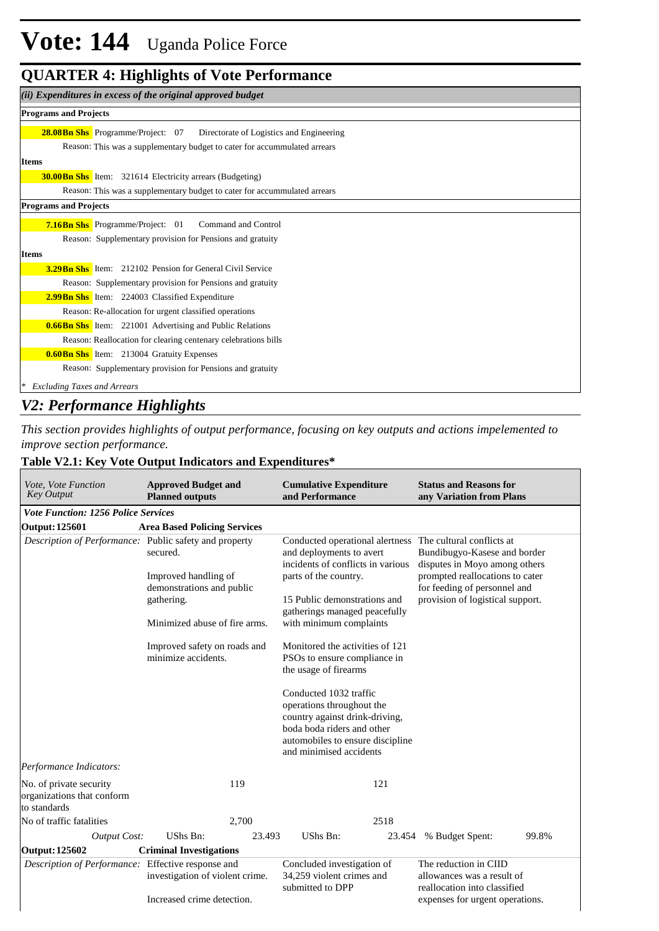### **QUARTER 4: Highlights of Vote Performance**

| (ii) Expenditures in excess of the original approved budget                           |
|---------------------------------------------------------------------------------------|
| <b>Programs and Projects</b>                                                          |
| <b>28.08 Bn Shs</b> Programme/Project: 07<br>Directorate of Logistics and Engineering |
| Reason: This was a supplementary budget to cater for accummulated arrears             |
| <b>Items</b>                                                                          |
| <b>30.00 Bn Shs</b> Item: 321614 Electricity arrears (Budgeting)                      |
| Reason: This was a supplementary budget to cater for accummulated arrears             |
| <b>Programs and Projects</b>                                                          |
| <b>7.16Bn Shs</b> Programme/Project: 01<br>Command and Control                        |
| Reason: Supplementary provision for Pensions and gratuity                             |
| <b>Items</b>                                                                          |
| <b>3.29 Bn Shs</b> Item: 212102 Pension for General Civil Service                     |
| Reason: Supplementary provision for Pensions and gratuity                             |
| <b>2.99Bn Shs</b> Item: 224003 Classified Expenditure                                 |
| Reason: Re-allocation for urgent classified operations                                |
| <b>0.66Bn Shs</b> Item: 221001 Advertising and Public Relations                       |
| Reason: Reallocation for clearing centenary celebrations bills                        |
| <b>0.60 Bn Shs</b> Item: 213004 Gratuity Expenses                                     |
| Reason: Supplementary provision for Pensions and gratuity                             |
| <b>Excluding Taxes and Arrears</b>                                                    |

### *V2: Performance Highlights*

*This section provides highlights of output performance, focusing on key outputs and actions impelemented to improve section performance.*

┓

### **Table V2.1: Key Vote Output Indicators and Expenditures\***

| Vote, Vote Function<br><b>Key Output</b>                                              | <b>Approved Budget and</b><br><b>Planned outputs</b> |                                                                             | <b>Cumulative Expenditure</b><br>and Performance                                                                                                                                   |                                                                                     | <b>Status and Reasons for</b><br>any Variation from Plans                                                                                                            |       |  |
|---------------------------------------------------------------------------------------|------------------------------------------------------|-----------------------------------------------------------------------------|------------------------------------------------------------------------------------------------------------------------------------------------------------------------------------|-------------------------------------------------------------------------------------|----------------------------------------------------------------------------------------------------------------------------------------------------------------------|-------|--|
| <b>Vote Function: 1256 Police Services</b>                                            |                                                      |                                                                             |                                                                                                                                                                                    |                                                                                     |                                                                                                                                                                      |       |  |
| Output: 125601                                                                        | <b>Area Based Policing Services</b>                  |                                                                             |                                                                                                                                                                                    |                                                                                     |                                                                                                                                                                      |       |  |
| <i>Description of Performance:</i> Public safety and property                         | secured.<br>Improved handling of                     |                                                                             | Conducted operational alertness The cultural conflicts at<br>and deployments to avert<br>incidents of conflicts in various<br>parts of the country.                                |                                                                                     | Bundibugyo-Kasese and border<br>disputes in Moyo among others<br>prompted reallocations to cater<br>for feeding of personnel and<br>provision of logistical support. |       |  |
|                                                                                       | demonstrations and public<br>gathering.              |                                                                             | 15 Public demonstrations and                                                                                                                                                       |                                                                                     |                                                                                                                                                                      |       |  |
|                                                                                       | Minimized abuse of fire arms.                        |                                                                             | gatherings managed peacefully<br>with minimum complaints                                                                                                                           |                                                                                     |                                                                                                                                                                      |       |  |
|                                                                                       | Improved safety on roads and<br>minimize accidents.  |                                                                             | Monitored the activities of 121<br>PSOs to ensure compliance in<br>the usage of firearms                                                                                           |                                                                                     |                                                                                                                                                                      |       |  |
|                                                                                       |                                                      |                                                                             | Conducted 1032 traffic<br>operations throughout the<br>country against drink-driving,<br>boda boda riders and other<br>automobiles to ensure discipline<br>and minimised accidents |                                                                                     |                                                                                                                                                                      |       |  |
| Performance Indicators:                                                               |                                                      |                                                                             |                                                                                                                                                                                    |                                                                                     |                                                                                                                                                                      |       |  |
| No. of private security<br>organizations that conform<br>to standards                 |                                                      | 119                                                                         |                                                                                                                                                                                    | 121                                                                                 |                                                                                                                                                                      |       |  |
| No of traffic fatalities                                                              |                                                      | 2,700                                                                       |                                                                                                                                                                                    | 2518                                                                                |                                                                                                                                                                      |       |  |
| <b>Output Cost:</b>                                                                   | UShs Bn:                                             | 23.493                                                                      | UShs Bn:                                                                                                                                                                           | 23.454                                                                              | % Budget Spent:                                                                                                                                                      | 99.8% |  |
| Output: 125602                                                                        | <b>Criminal Investigations</b>                       |                                                                             |                                                                                                                                                                                    |                                                                                     |                                                                                                                                                                      |       |  |
| Description of Performance: Effective response and<br>investigation of violent crime. |                                                      | Concluded investigation of<br>34,259 violent crimes and<br>submitted to DPP |                                                                                                                                                                                    | The reduction in CIID<br>allowances was a result of<br>reallocation into classified |                                                                                                                                                                      |       |  |
|                                                                                       | Increased crime detection.                           |                                                                             |                                                                                                                                                                                    |                                                                                     | expenses for urgent operations.                                                                                                                                      |       |  |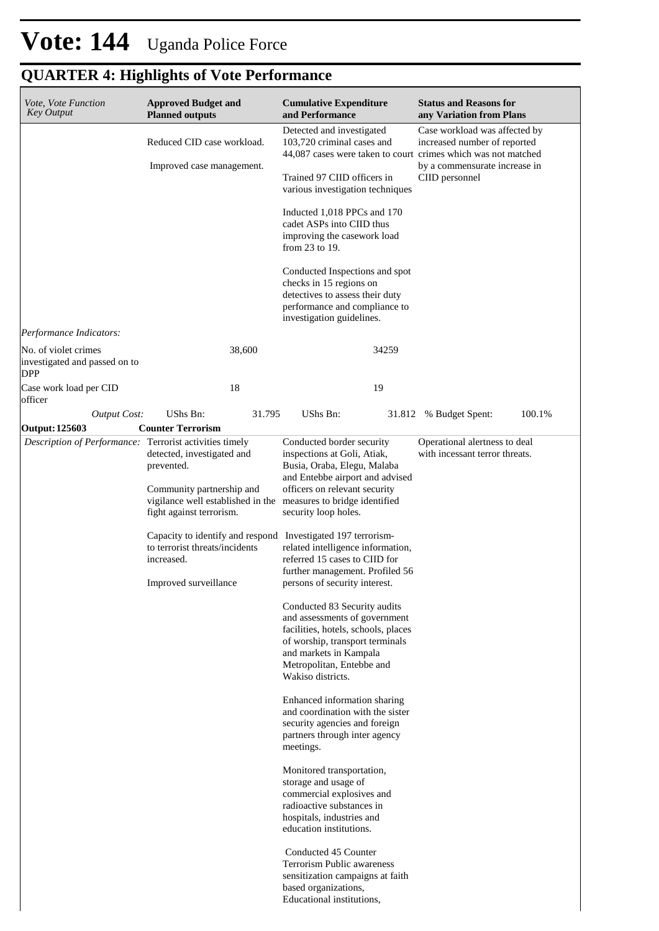| Vote, Vote Function<br><b>Key Output</b>                            | <b>Approved Budget and</b><br><b>Planned outputs</b>                                                                                                                                                                            |                                                                                                                            | <b>Cumulative Expenditure</b><br>and Performance                                                                                                                      |                                                                 | <b>Status and Reasons for</b><br>any Variation from Plans                                                                      |        |
|---------------------------------------------------------------------|---------------------------------------------------------------------------------------------------------------------------------------------------------------------------------------------------------------------------------|----------------------------------------------------------------------------------------------------------------------------|-----------------------------------------------------------------------------------------------------------------------------------------------------------------------|-----------------------------------------------------------------|--------------------------------------------------------------------------------------------------------------------------------|--------|
|                                                                     | Reduced CID case workload.                                                                                                                                                                                                      |                                                                                                                            | Detected and investigated<br>103,720 criminal cases and                                                                                                               |                                                                 | Case workload was affected by<br>increased number of reported<br>44,087 cases were taken to court crimes which was not matched |        |
|                                                                     | Improved case management.                                                                                                                                                                                                       |                                                                                                                            |                                                                                                                                                                       |                                                                 | by a commensurate increase in                                                                                                  |        |
|                                                                     |                                                                                                                                                                                                                                 |                                                                                                                            | Trained 97 CIID officers in<br>various investigation techniques                                                                                                       |                                                                 | CIID personnel                                                                                                                 |        |
|                                                                     |                                                                                                                                                                                                                                 |                                                                                                                            | Inducted 1,018 PPCs and 170<br>cadet ASPs into CIID thus<br>improving the casework load<br>from 23 to 19.                                                             |                                                                 |                                                                                                                                |        |
|                                                                     |                                                                                                                                                                                                                                 |                                                                                                                            | Conducted Inspections and spot<br>checks in 15 regions on                                                                                                             |                                                                 |                                                                                                                                |        |
|                                                                     |                                                                                                                                                                                                                                 |                                                                                                                            | detectives to assess their duty<br>performance and compliance to<br>investigation guidelines.                                                                         |                                                                 |                                                                                                                                |        |
| Performance Indicators:                                             |                                                                                                                                                                                                                                 |                                                                                                                            |                                                                                                                                                                       |                                                                 |                                                                                                                                |        |
| No. of violet crimes<br>investigated and passed on to<br><b>DPP</b> |                                                                                                                                                                                                                                 | 38,600                                                                                                                     |                                                                                                                                                                       | 34259                                                           |                                                                                                                                |        |
| Case work load per CID<br>officer                                   |                                                                                                                                                                                                                                 | 18                                                                                                                         |                                                                                                                                                                       | 19                                                              |                                                                                                                                |        |
| <b>Output Cost:</b>                                                 | UShs Bn:                                                                                                                                                                                                                        | 31.795                                                                                                                     | UShs Bn:                                                                                                                                                              | 31.812                                                          | % Budget Spent:                                                                                                                | 100.1% |
| Output: 125603                                                      | <b>Counter Terrorism</b>                                                                                                                                                                                                        |                                                                                                                            |                                                                                                                                                                       |                                                                 |                                                                                                                                |        |
|                                                                     | Description of Performance: Terrorist activities timely<br>detected, investigated and<br>prevented.<br>Community partnership and<br>vigilance well established in the measures to bridge identified<br>fight against terrorism. | Conducted border security<br>inspections at Goli, Atiak,<br>Busia, Oraba, Elegu, Malaba<br>and Entebbe airport and advised |                                                                                                                                                                       | Operational alertness to deal<br>with incessant terror threats. |                                                                                                                                |        |
|                                                                     |                                                                                                                                                                                                                                 |                                                                                                                            | officers on relevant security                                                                                                                                         |                                                                 |                                                                                                                                |        |
|                                                                     |                                                                                                                                                                                                                                 |                                                                                                                            | security loop holes.                                                                                                                                                  |                                                                 |                                                                                                                                |        |
|                                                                     | to terrorist threats/incidents<br>increased.                                                                                                                                                                                    |                                                                                                                            | Capacity to identify and respond Investigated 197 terrorism-<br>related intelligence information,<br>referred 15 cases to CIID for<br>further management. Profiled 56 |                                                                 |                                                                                                                                |        |
|                                                                     | Improved surveillance                                                                                                                                                                                                           |                                                                                                                            | persons of security interest.                                                                                                                                         |                                                                 |                                                                                                                                |        |
|                                                                     |                                                                                                                                                                                                                                 |                                                                                                                            | Conducted 83 Security audits<br>and assessments of government                                                                                                         |                                                                 |                                                                                                                                |        |
|                                                                     |                                                                                                                                                                                                                                 |                                                                                                                            | facilities, hotels, schools, places                                                                                                                                   |                                                                 |                                                                                                                                |        |
|                                                                     |                                                                                                                                                                                                                                 |                                                                                                                            | of worship, transport terminals<br>and markets in Kampala                                                                                                             |                                                                 |                                                                                                                                |        |
|                                                                     |                                                                                                                                                                                                                                 |                                                                                                                            | Metropolitan, Entebbe and<br>Wakiso districts.                                                                                                                        |                                                                 |                                                                                                                                |        |
|                                                                     |                                                                                                                                                                                                                                 |                                                                                                                            | Enhanced information sharing<br>and coordination with the sister                                                                                                      |                                                                 |                                                                                                                                |        |
|                                                                     |                                                                                                                                                                                                                                 |                                                                                                                            | security agencies and foreign                                                                                                                                         |                                                                 |                                                                                                                                |        |
|                                                                     |                                                                                                                                                                                                                                 |                                                                                                                            | partners through inter agency<br>meetings.                                                                                                                            |                                                                 |                                                                                                                                |        |
|                                                                     |                                                                                                                                                                                                                                 |                                                                                                                            | Monitored transportation,<br>storage and usage of                                                                                                                     |                                                                 |                                                                                                                                |        |
|                                                                     |                                                                                                                                                                                                                                 |                                                                                                                            | commercial explosives and                                                                                                                                             |                                                                 |                                                                                                                                |        |
|                                                                     |                                                                                                                                                                                                                                 |                                                                                                                            | radioactive substances in<br>hospitals, industries and<br>education institutions.                                                                                     |                                                                 |                                                                                                                                |        |
|                                                                     |                                                                                                                                                                                                                                 |                                                                                                                            | Conducted 45 Counter<br><b>Terrorism Public awareness</b>                                                                                                             |                                                                 |                                                                                                                                |        |
|                                                                     |                                                                                                                                                                                                                                 |                                                                                                                            | sensitization campaigns at faith<br>based organizations,<br>Educational institutions,                                                                                 |                                                                 |                                                                                                                                |        |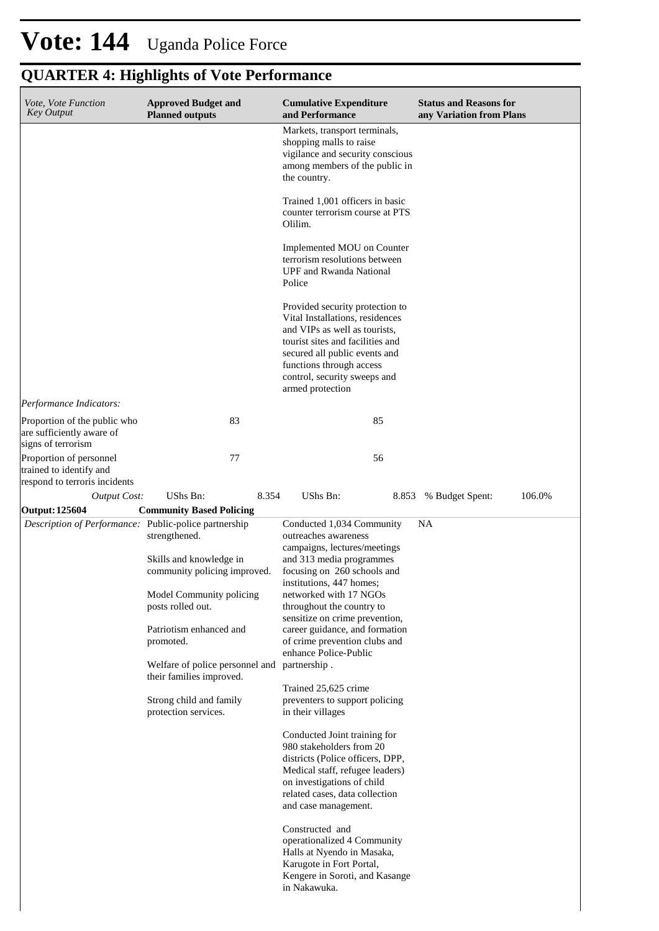| Vote, Vote Function<br><b>Key Output</b>                                            | <b>Approved Budget and</b><br><b>Planned outputs</b>                     | <b>Cumulative Expenditure</b><br>and Performance                                                                                                                                                                                                         | <b>Status and Reasons for</b><br>any Variation from Plans |
|-------------------------------------------------------------------------------------|--------------------------------------------------------------------------|----------------------------------------------------------------------------------------------------------------------------------------------------------------------------------------------------------------------------------------------------------|-----------------------------------------------------------|
|                                                                                     |                                                                          | Markets, transport terminals,<br>shopping malls to raise<br>vigilance and security conscious<br>among members of the public in<br>the country.                                                                                                           |                                                           |
|                                                                                     |                                                                          | Trained 1,001 officers in basic<br>counter terrorism course at PTS<br>Olilim.                                                                                                                                                                            |                                                           |
|                                                                                     |                                                                          | Implemented MOU on Counter<br>terrorism resolutions between<br><b>UPF</b> and Rwanda National<br>Police                                                                                                                                                  |                                                           |
|                                                                                     |                                                                          | Provided security protection to<br>Vital Installations, residences<br>and VIPs as well as tourists,<br>tourist sites and facilities and<br>secured all public events and<br>functions through access<br>control, security sweeps and<br>armed protection |                                                           |
| Performance Indicators:                                                             |                                                                          |                                                                                                                                                                                                                                                          |                                                           |
| Proportion of the public who<br>are sufficiently aware of<br>signs of terrorism     | 83                                                                       | 85                                                                                                                                                                                                                                                       |                                                           |
| Proportion of personnel<br>trained to identify and<br>respond to terroris incidents | 77                                                                       | 56                                                                                                                                                                                                                                                       |                                                           |
| <b>Output Cost:</b>                                                                 | UShs Bn:<br>8.354                                                        | UShs Bn:                                                                                                                                                                                                                                                 | 8.853 % Budget Spent:<br>106.0%                           |
| Output: 125604                                                                      | <b>Community Based Policing</b>                                          |                                                                                                                                                                                                                                                          |                                                           |
| Description of Performance: Public-police partnership                               | strengthened.                                                            | Conducted 1,034 Community<br>outreaches awareness<br>campaigns, lectures/meetings                                                                                                                                                                        | <b>NA</b>                                                 |
|                                                                                     | Skills and knowledge in<br>community policing improved.                  | and 313 media programmes<br>focusing on 260 schools and<br>institutions, 447 homes;                                                                                                                                                                      |                                                           |
|                                                                                     | Model Community policing<br>posts rolled out.                            | networked with 17 NGOs<br>throughout the country to                                                                                                                                                                                                      |                                                           |
|                                                                                     | Patriotism enhanced and<br>promoted.                                     | sensitize on crime prevention,<br>career guidance, and formation<br>of crime prevention clubs and                                                                                                                                                        |                                                           |
|                                                                                     | Welfare of police personnel and partnership.<br>their families improved. | enhance Police-Public                                                                                                                                                                                                                                    |                                                           |
|                                                                                     | Strong child and family<br>protection services.                          | Trained 25,625 crime<br>preventers to support policing<br>in their villages                                                                                                                                                                              |                                                           |
|                                                                                     |                                                                          | Conducted Joint training for<br>980 stakeholders from 20<br>districts (Police officers, DPP,<br>Medical staff, refugee leaders)<br>on investigations of child<br>related cases, data collection<br>and case management.                                  |                                                           |
|                                                                                     |                                                                          | Constructed and<br>operationalized 4 Community<br>Halls at Nyendo in Masaka,<br>Karugote in Fort Portal,<br>Kengere in Soroti, and Kasange<br>in Nakawuka.                                                                                               |                                                           |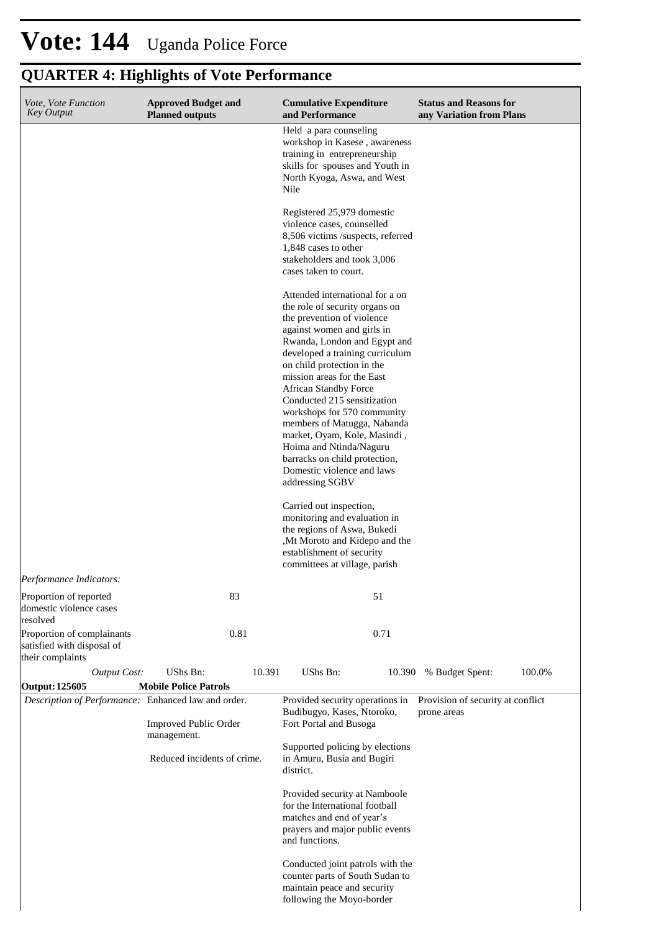| Vote, Vote Function<br><b>Key Output</b>                                     | <b>Approved Budget and</b><br><b>Planned outputs</b> | <b>Cumulative Expenditure</b><br>and Performance                                                                                                                                                                                                                                                                                                                                                                                                                                                                                                                                                                                                                                                                                | <b>Status and Reasons for</b><br>any Variation from Plans |
|------------------------------------------------------------------------------|------------------------------------------------------|---------------------------------------------------------------------------------------------------------------------------------------------------------------------------------------------------------------------------------------------------------------------------------------------------------------------------------------------------------------------------------------------------------------------------------------------------------------------------------------------------------------------------------------------------------------------------------------------------------------------------------------------------------------------------------------------------------------------------------|-----------------------------------------------------------|
|                                                                              |                                                      | Held a para counseling<br>workshop in Kasese, awareness<br>training in entrepreneurship<br>skills for spouses and Youth in<br>North Kyoga, Aswa, and West<br>Nile                                                                                                                                                                                                                                                                                                                                                                                                                                                                                                                                                               |                                                           |
|                                                                              |                                                      | Registered 25,979 domestic<br>violence cases, counselled<br>8,506 victims /suspects, referred<br>1,848 cases to other<br>stakeholders and took 3,006<br>cases taken to court.                                                                                                                                                                                                                                                                                                                                                                                                                                                                                                                                                   |                                                           |
|                                                                              |                                                      | Attended international for a on<br>the role of security organs on<br>the prevention of violence<br>against women and girls in<br>Rwanda, London and Egypt and<br>developed a training curriculum<br>on child protection in the<br>mission areas for the East<br><b>African Standby Force</b><br>Conducted 215 sensitization<br>workshops for 570 community<br>members of Matugga, Nabanda<br>market, Oyam, Kole, Masindi,<br>Hoima and Ntinda/Naguru<br>barracks on child protection,<br>Domestic violence and laws<br>addressing SGBV<br>Carried out inspection,<br>monitoring and evaluation in<br>the regions of Aswa, Bukedi<br>,Mt Moroto and Kidepo and the<br>establishment of security<br>committees at village, parish |                                                           |
| Performance Indicators:                                                      |                                                      |                                                                                                                                                                                                                                                                                                                                                                                                                                                                                                                                                                                                                                                                                                                                 |                                                           |
| Proportion of reported<br>domestic violence cases<br>resolved                | 83                                                   | 51                                                                                                                                                                                                                                                                                                                                                                                                                                                                                                                                                                                                                                                                                                                              |                                                           |
| Proportion of complainants<br>satisfied with disposal of<br>their complaints | 0.81                                                 | 0.71                                                                                                                                                                                                                                                                                                                                                                                                                                                                                                                                                                                                                                                                                                                            |                                                           |
| <b>Output Cost:</b><br>Output: 125605                                        | UShs Bn:<br>10.391<br><b>Mobile Police Patrols</b>   | UShs Bn:<br>10.390                                                                                                                                                                                                                                                                                                                                                                                                                                                                                                                                                                                                                                                                                                              | 100.0%<br>% Budget Spent:                                 |
| Description of Performance: Enhanced law and order.                          |                                                      | Provided security operations in                                                                                                                                                                                                                                                                                                                                                                                                                                                                                                                                                                                                                                                                                                 | Provision of security at conflict                         |
|                                                                              | <b>Improved Public Order</b><br>management.          | Budibugyo, Kases, Ntoroko,<br>Fort Portal and Busoga                                                                                                                                                                                                                                                                                                                                                                                                                                                                                                                                                                                                                                                                            | prone areas                                               |
|                                                                              | Reduced incidents of crime.                          | Supported policing by elections<br>in Amuru, Busia and Bugiri<br>district.                                                                                                                                                                                                                                                                                                                                                                                                                                                                                                                                                                                                                                                      |                                                           |
|                                                                              |                                                      | Provided security at Namboole<br>for the International football<br>matches and end of year's<br>prayers and major public events<br>and functions.                                                                                                                                                                                                                                                                                                                                                                                                                                                                                                                                                                               |                                                           |
|                                                                              |                                                      | Conducted joint patrols with the<br>counter parts of South Sudan to<br>maintain peace and security<br>following the Moyo-border                                                                                                                                                                                                                                                                                                                                                                                                                                                                                                                                                                                                 |                                                           |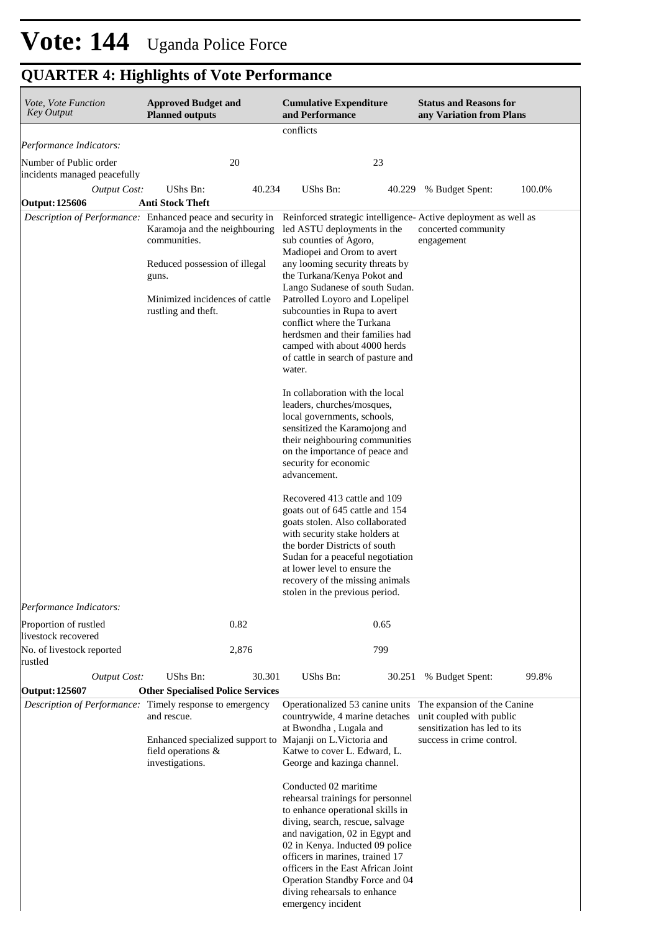| Vote, Vote Function<br><b>Key Output</b>               | <b>Approved Budget and</b><br><b>Planned outputs</b>                                                                                                                                                                                                                          | <b>Cumulative Expenditure</b><br>and Performance                                                                                                                                                                                                                                                                                                                                                                                                                                                                                                                                                                                                         | <b>Status and Reasons for</b><br>any Variation from Plans                                                            |
|--------------------------------------------------------|-------------------------------------------------------------------------------------------------------------------------------------------------------------------------------------------------------------------------------------------------------------------------------|----------------------------------------------------------------------------------------------------------------------------------------------------------------------------------------------------------------------------------------------------------------------------------------------------------------------------------------------------------------------------------------------------------------------------------------------------------------------------------------------------------------------------------------------------------------------------------------------------------------------------------------------------------|----------------------------------------------------------------------------------------------------------------------|
|                                                        |                                                                                                                                                                                                                                                                               | conflicts                                                                                                                                                                                                                                                                                                                                                                                                                                                                                                                                                                                                                                                |                                                                                                                      |
| Performance Indicators:                                |                                                                                                                                                                                                                                                                               |                                                                                                                                                                                                                                                                                                                                                                                                                                                                                                                                                                                                                                                          |                                                                                                                      |
| Number of Public order<br>incidents managed peacefully | 20                                                                                                                                                                                                                                                                            | 23                                                                                                                                                                                                                                                                                                                                                                                                                                                                                                                                                                                                                                                       |                                                                                                                      |
| <b>Output Cost:</b>                                    | UShs Bn:<br>40.234                                                                                                                                                                                                                                                            | UShs Bn:<br>40.229                                                                                                                                                                                                                                                                                                                                                                                                                                                                                                                                                                                                                                       | % Budget Spent:<br>100.0%                                                                                            |
| Output: 125606                                         | <b>Anti Stock Theft</b>                                                                                                                                                                                                                                                       |                                                                                                                                                                                                                                                                                                                                                                                                                                                                                                                                                                                                                                                          |                                                                                                                      |
|                                                        | Description of Performance: Enhanced peace and security in Reinforced strategic intelligence-Active deployment as well as<br>Karamoja and the neighbouring<br>communities.<br>Reduced possession of illegal<br>guns.<br>Minimized incidences of cattle<br>rustling and theft. | led ASTU deployments in the<br>sub counties of Agoro,<br>Madiopei and Orom to avert<br>any looming security threats by<br>the Turkana/Kenya Pokot and<br>Lango Sudanese of south Sudan.<br>Patrolled Loyoro and Lopelipel<br>subcounties in Rupa to avert<br>conflict where the Turkana<br>herdsmen and their families had<br>camped with about 4000 herds<br>of cattle in search of pasture and<br>water.<br>In collaboration with the local<br>leaders, churches/mosques,<br>local governments, schools,<br>sensitized the Karamojong and<br>their neighbouring communities<br>on the importance of peace and<br>security for economic<br>advancement. | concerted community<br>engagement                                                                                    |
| Performance Indicators:                                |                                                                                                                                                                                                                                                                               | Recovered 413 cattle and 109<br>goats out of 645 cattle and 154<br>goats stolen. Also collaborated<br>with security stake holders at<br>the border Districts of south<br>Sudan for a peaceful negotiation<br>at lower level to ensure the<br>recovery of the missing animals<br>stolen in the previous period.                                                                                                                                                                                                                                                                                                                                           |                                                                                                                      |
| Proportion of rustled<br>livestock recovered           | 0.82                                                                                                                                                                                                                                                                          | 0.65                                                                                                                                                                                                                                                                                                                                                                                                                                                                                                                                                                                                                                                     |                                                                                                                      |
| No. of livestock reported<br>rustled                   | 2,876                                                                                                                                                                                                                                                                         | 799                                                                                                                                                                                                                                                                                                                                                                                                                                                                                                                                                                                                                                                      |                                                                                                                      |
| Output Cost:                                           | UShs Bn:<br>30.301                                                                                                                                                                                                                                                            | UShs Bn:<br>30.251                                                                                                                                                                                                                                                                                                                                                                                                                                                                                                                                                                                                                                       | % Budget Spent:<br>99.8%                                                                                             |
| Output: 125607                                         | <b>Other Specialised Police Services</b>                                                                                                                                                                                                                                      |                                                                                                                                                                                                                                                                                                                                                                                                                                                                                                                                                                                                                                                          |                                                                                                                      |
|                                                        | Description of Performance: Timely response to emergency<br>and rescue.<br>Enhanced specialized support to Majanji on L. Victoria and<br>field operations &<br>investigations.                                                                                                | Operationalized 53 canine units<br>countrywide, 4 marine detaches<br>at Bwondha, Lugala and<br>Katwe to cover L. Edward, L.<br>George and kazinga channel.                                                                                                                                                                                                                                                                                                                                                                                                                                                                                               | The expansion of the Canine<br>unit coupled with public<br>sensitization has led to its<br>success in crime control. |
|                                                        |                                                                                                                                                                                                                                                                               | Conducted 02 maritime<br>rehearsal trainings for personnel<br>to enhance operational skills in<br>diving, search, rescue, salvage<br>and navigation, 02 in Egypt and<br>02 in Kenya. Inducted 09 police<br>officers in marines, trained 17<br>officers in the East African Joint<br>Operation Standby Force and 04<br>diving rehearsals to enhance<br>emergency incident                                                                                                                                                                                                                                                                                 |                                                                                                                      |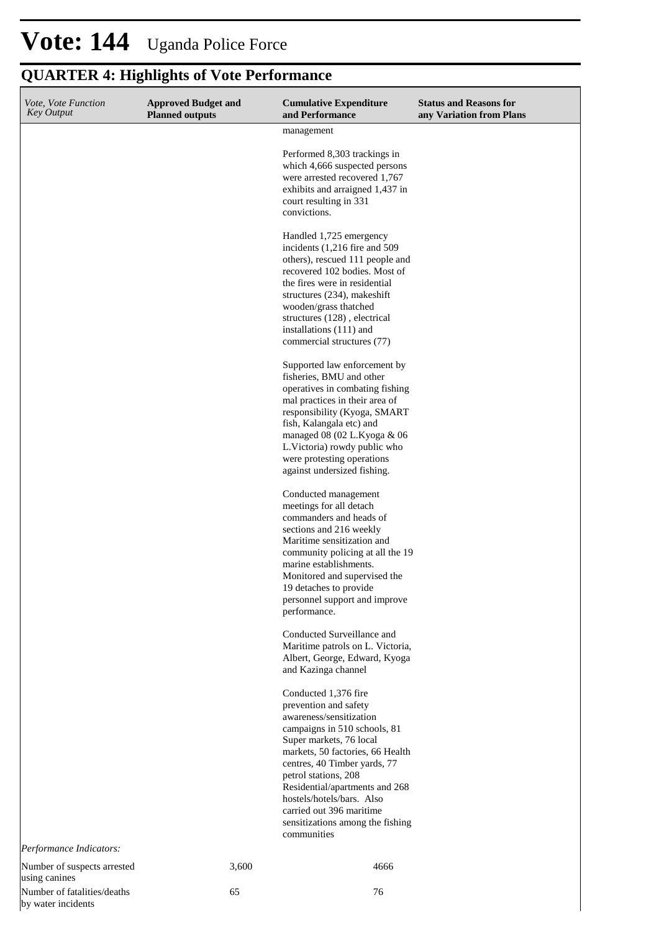by water incidents

| Vote, Vote Function<br><b>Key Output</b>     | <b>Approved Budget and</b><br><b>Planned outputs</b> | <b>Cumulative Expenditure</b><br>and Performance                                                                                                                                                                                                                                                                                                                              | <b>Status and Reasons for</b><br>any Variation from Plans |
|----------------------------------------------|------------------------------------------------------|-------------------------------------------------------------------------------------------------------------------------------------------------------------------------------------------------------------------------------------------------------------------------------------------------------------------------------------------------------------------------------|-----------------------------------------------------------|
|                                              |                                                      | management                                                                                                                                                                                                                                                                                                                                                                    |                                                           |
|                                              |                                                      | Performed 8,303 trackings in<br>which 4,666 suspected persons<br>were arrested recovered 1,767<br>exhibits and arraigned 1,437 in<br>court resulting in 331<br>convictions.                                                                                                                                                                                                   |                                                           |
|                                              |                                                      | Handled 1,725 emergency<br>incidents $(1,216$ fire and 509<br>others), rescued 111 people and<br>recovered 102 bodies. Most of<br>the fires were in residential<br>structures (234), makeshift<br>wooden/grass thatched<br>structures (128), electrical<br>installations (111) and<br>commercial structures (77)                                                              |                                                           |
|                                              |                                                      | Supported law enforcement by<br>fisheries, BMU and other<br>operatives in combating fishing<br>mal practices in their area of<br>responsibility (Kyoga, SMART<br>fish, Kalangala etc) and<br>managed 08 (02 L.Kyoga & 06<br>L.Victoria) rowdy public who<br>were protesting operations<br>against undersized fishing.                                                         |                                                           |
|                                              |                                                      | Conducted management<br>meetings for all detach<br>commanders and heads of<br>sections and 216 weekly<br>Maritime sensitization and<br>community policing at all the 19<br>marine establishments.<br>Monitored and supervised the<br>19 detaches to provide<br>personnel support and improve<br>performance.                                                                  |                                                           |
|                                              |                                                      | Conducted Surveillance and<br>Maritime patrols on L. Victoria,<br>Albert, George, Edward, Kyoga<br>and Kazinga channel                                                                                                                                                                                                                                                        |                                                           |
|                                              |                                                      | Conducted 1,376 fire<br>prevention and safety<br>awareness/sensitization<br>campaigns in 510 schools, 81<br>Super markets, 76 local<br>markets, 50 factories, 66 Health<br>centres, 40 Timber yards, 77<br>petrol stations, 208<br>Residential/apartments and 268<br>hostels/hotels/bars. Also<br>carried out 396 maritime<br>sensitizations among the fishing<br>communities |                                                           |
| Performance Indicators:                      |                                                      |                                                                                                                                                                                                                                                                                                                                                                               |                                                           |
| Number of suspects arrested<br>using canines | 3,600                                                | 4666                                                                                                                                                                                                                                                                                                                                                                          |                                                           |
| Number of fatalities/deaths                  | 65                                                   | 76                                                                                                                                                                                                                                                                                                                                                                            |                                                           |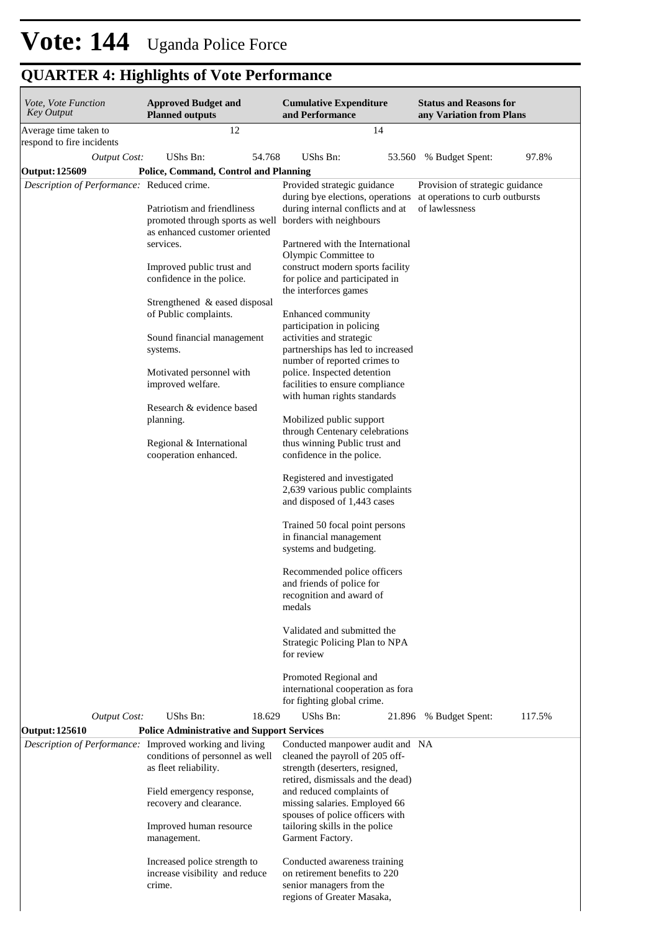| Vote, Vote Function<br><b>Key Output</b>                | <b>Approved Budget and</b><br><b>Planned outputs</b>                          | <b>Cumulative Expenditure</b><br>and Performance                                                                                          | <b>Status and Reasons for</b><br>any Variation from Plans                            |
|---------------------------------------------------------|-------------------------------------------------------------------------------|-------------------------------------------------------------------------------------------------------------------------------------------|--------------------------------------------------------------------------------------|
| Average time taken to<br>respond to fire incidents      | 12                                                                            | 14                                                                                                                                        |                                                                                      |
| <b>Output Cost:</b>                                     | UShs Bn:<br>54.768                                                            | UShs Bn:                                                                                                                                  | 53.560 % Budget Spent:<br>97.8%                                                      |
| <b>Output: 125609</b>                                   | Police, Command, Control and Planning                                         |                                                                                                                                           |                                                                                      |
| Description of Performance: Reduced crime.              | Patriotism and friendliness                                                   | Provided strategic guidance<br>during bye elections, operations<br>during internal conflicts and at                                       | Provision of strategic guidance<br>at operations to curb outbursts<br>of lawlessness |
|                                                         | promoted through sports as well<br>as enhanced customer oriented<br>services. | borders with neighbours<br>Partnered with the International                                                                               |                                                                                      |
|                                                         | Improved public trust and<br>confidence in the police.                        | Olympic Committee to<br>construct modern sports facility<br>for police and participated in                                                |                                                                                      |
|                                                         |                                                                               | the interforces games                                                                                                                     |                                                                                      |
|                                                         | Strengthened & eased disposal<br>of Public complaints.                        | Enhanced community                                                                                                                        |                                                                                      |
|                                                         | Sound financial management<br>systems.                                        | participation in policing<br>activities and strategic<br>partnerships has led to increased                                                |                                                                                      |
|                                                         | Motivated personnel with<br>improved welfare.                                 | number of reported crimes to<br>police. Inspected detention<br>facilities to ensure compliance                                            |                                                                                      |
|                                                         |                                                                               | with human rights standards                                                                                                               |                                                                                      |
|                                                         | Research & evidence based<br>planning.                                        | Mobilized public support<br>through Centenary celebrations                                                                                |                                                                                      |
|                                                         | Regional & International<br>cooperation enhanced.                             | thus winning Public trust and<br>confidence in the police.                                                                                |                                                                                      |
|                                                         |                                                                               | Registered and investigated<br>2,639 various public complaints<br>and disposed of 1,443 cases                                             |                                                                                      |
|                                                         |                                                                               | Trained 50 focal point persons                                                                                                            |                                                                                      |
|                                                         |                                                                               | in financial management<br>systems and budgeting.                                                                                         |                                                                                      |
|                                                         |                                                                               | Recommended police officers<br>and friends of police for<br>recognition and award of<br>medals                                            |                                                                                      |
|                                                         |                                                                               | Validated and submitted the<br>Strategic Policing Plan to NPA<br>for review                                                               |                                                                                      |
|                                                         |                                                                               | Promoted Regional and<br>international cooperation as fora<br>for fighting global crime.                                                  |                                                                                      |
| <b>Output Cost:</b><br><b>Output: 125610</b>            | UShs Bn:<br>18.629<br><b>Police Administrative and Support Services</b>       | UShs Bn:<br>21.896                                                                                                                        | 117.5%<br>% Budget Spent:                                                            |
| Description of Performance: Improved working and living | conditions of personnel as well<br>as fleet reliability.                      | Conducted manpower audit and NA<br>cleaned the payroll of 205 off-<br>strength (deserters, resigned,<br>retired, dismissals and the dead) |                                                                                      |
|                                                         | Field emergency response,<br>recovery and clearance.                          | and reduced complaints of<br>missing salaries. Employed 66<br>spouses of police officers with                                             |                                                                                      |
|                                                         | Improved human resource<br>management.                                        | tailoring skills in the police<br>Garment Factory.                                                                                        |                                                                                      |
|                                                         | Increased police strength to                                                  | Conducted awareness training                                                                                                              |                                                                                      |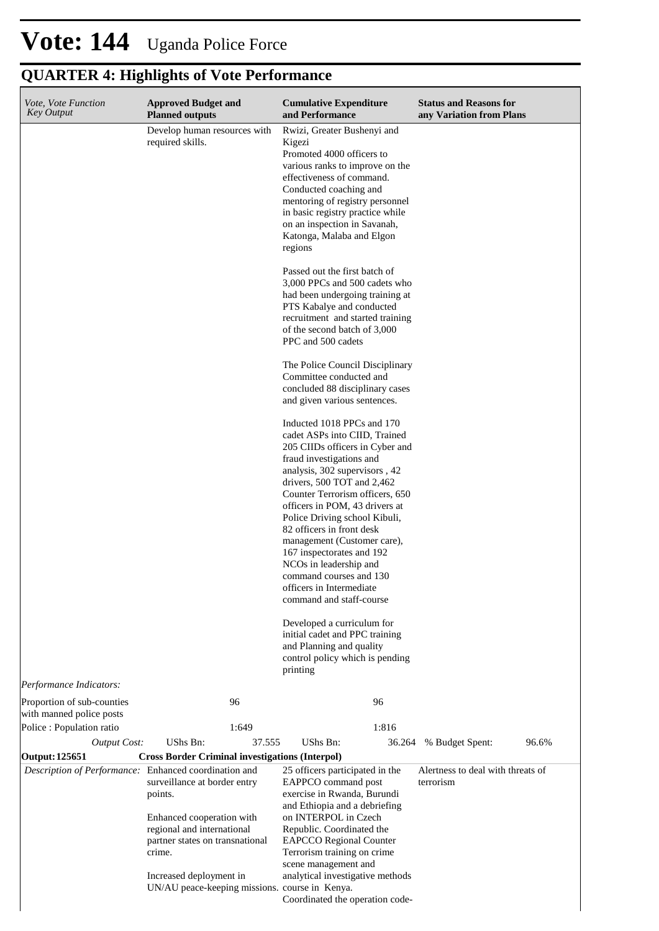| Vote, Vote Function<br><b>Key Output</b>               | <b>Approved Budget and</b><br><b>Planned outputs</b>                                                 | <b>Cumulative Expenditure</b><br>and Performance                                                                                                                                                                                                                                                                                                                                                                                                                                                                                                                                                                                                 | <b>Status and Reasons for</b><br>any Variation from Plans |
|--------------------------------------------------------|------------------------------------------------------------------------------------------------------|--------------------------------------------------------------------------------------------------------------------------------------------------------------------------------------------------------------------------------------------------------------------------------------------------------------------------------------------------------------------------------------------------------------------------------------------------------------------------------------------------------------------------------------------------------------------------------------------------------------------------------------------------|-----------------------------------------------------------|
|                                                        | Develop human resources with<br>required skills.                                                     | Rwizi, Greater Bushenyi and<br>Kigezi<br>Promoted 4000 officers to<br>various ranks to improve on the<br>effectiveness of command.<br>Conducted coaching and<br>mentoring of registry personnel<br>in basic registry practice while<br>on an inspection in Savanah,<br>Katonga, Malaba and Elgon<br>regions                                                                                                                                                                                                                                                                                                                                      |                                                           |
|                                                        |                                                                                                      | Passed out the first batch of<br>3,000 PPCs and 500 cadets who<br>had been undergoing training at<br>PTS Kabalye and conducted<br>recruitment and started training<br>of the second batch of 3,000<br>PPC and 500 cadets                                                                                                                                                                                                                                                                                                                                                                                                                         |                                                           |
|                                                        |                                                                                                      | The Police Council Disciplinary<br>Committee conducted and<br>concluded 88 disciplinary cases<br>and given various sentences.                                                                                                                                                                                                                                                                                                                                                                                                                                                                                                                    |                                                           |
|                                                        |                                                                                                      | Inducted 1018 PPCs and 170<br>cadet ASPs into CIID, Trained<br>205 CIIDs officers in Cyber and<br>fraud investigations and<br>analysis, 302 supervisors, 42<br>drivers, 500 TOT and 2,462<br>Counter Terrorism officers, 650<br>officers in POM, 43 drivers at<br>Police Driving school Kibuli,<br>82 officers in front desk<br>management (Customer care),<br>167 inspectorates and 192<br>NCOs in leadership and<br>command courses and 130<br>officers in Intermediate<br>command and staff-course<br>Developed a curriculum for<br>initial cadet and PPC training<br>and Planning and quality<br>control policy which is pending<br>printing |                                                           |
| Performance Indicators:                                |                                                                                                      |                                                                                                                                                                                                                                                                                                                                                                                                                                                                                                                                                                                                                                                  |                                                           |
| Proportion of sub-counties<br>with manned police posts | 96                                                                                                   | 96                                                                                                                                                                                                                                                                                                                                                                                                                                                                                                                                                                                                                                               |                                                           |
| Police : Population ratio<br><b>Output Cost:</b>       | 1:649<br>UShs Bn:<br>37.555                                                                          | 1:816<br>UShs Bn:<br>36.264                                                                                                                                                                                                                                                                                                                                                                                                                                                                                                                                                                                                                      | 96.6%<br>% Budget Spent:                                  |
| <b>Output: 125651</b>                                  | <b>Cross Border Criminal investigations (Interpol)</b>                                               |                                                                                                                                                                                                                                                                                                                                                                                                                                                                                                                                                                                                                                                  |                                                           |
| Description of Performance: Enhanced coordination and  | surveillance at border entry<br>points.                                                              | 25 officers participated in the<br>EAPPCO command post<br>exercise in Rwanda, Burundi<br>and Ethiopia and a debriefing                                                                                                                                                                                                                                                                                                                                                                                                                                                                                                                           | Alertness to deal with threats of<br>terrorism            |
|                                                        | Enhanced cooperation with<br>regional and international<br>partner states on transnational<br>crime. | on INTERPOL in Czech<br>Republic. Coordinated the<br><b>EAPCCO</b> Regional Counter<br>Terrorism training on crime<br>scene management and                                                                                                                                                                                                                                                                                                                                                                                                                                                                                                       |                                                           |
|                                                        | Increased deployment in<br>UN/AU peace-keeping missions. course in Kenya.                            | analytical investigative methods<br>Coordinated the operation code-                                                                                                                                                                                                                                                                                                                                                                                                                                                                                                                                                                              |                                                           |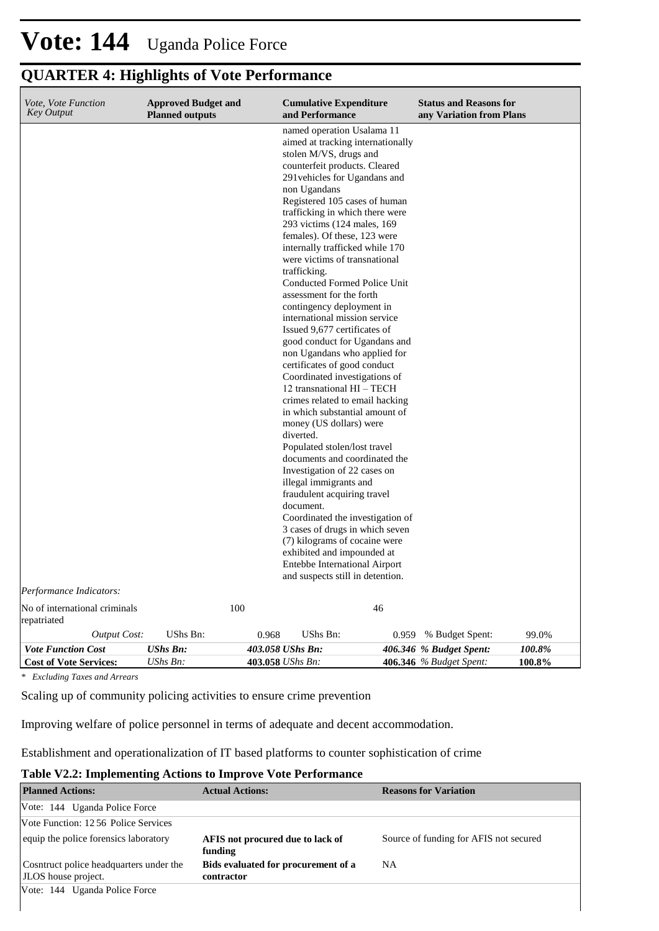### **QUARTER 4: Highlights of Vote Performance**

| <i>Vote, Vote Function</i><br><b>Key Output</b> | <b>Approved Budget and</b><br><b>Planned outputs</b> | <b>Cumulative Expenditure</b><br>and Performance                                                                                                                                                                                                                                                                                                                                                                                                                                                                                                                                                                                                                                                                                                                                                                                                                                                                                                                                                                                                                                                                                                                                                                             | <b>Status and Reasons for</b><br>any Variation from Plans |
|-------------------------------------------------|------------------------------------------------------|------------------------------------------------------------------------------------------------------------------------------------------------------------------------------------------------------------------------------------------------------------------------------------------------------------------------------------------------------------------------------------------------------------------------------------------------------------------------------------------------------------------------------------------------------------------------------------------------------------------------------------------------------------------------------------------------------------------------------------------------------------------------------------------------------------------------------------------------------------------------------------------------------------------------------------------------------------------------------------------------------------------------------------------------------------------------------------------------------------------------------------------------------------------------------------------------------------------------------|-----------------------------------------------------------|
| Performance Indicators:                         |                                                      | named operation Usalama 11<br>aimed at tracking internationally<br>stolen M/VS, drugs and<br>counterfeit products. Cleared<br>291 vehicles for Ugandans and<br>non Ugandans<br>Registered 105 cases of human<br>trafficking in which there were<br>293 victims (124 males, 169)<br>females). Of these, 123 were<br>internally trafficked while 170<br>were victims of transnational<br>trafficking.<br>Conducted Formed Police Unit<br>assessment for the forth<br>contingency deployment in<br>international mission service<br>Issued 9,677 certificates of<br>good conduct for Ugandans and<br>non Ugandans who applied for<br>certificates of good conduct<br>Coordinated investigations of<br>12 transnational HI - TECH<br>crimes related to email hacking<br>in which substantial amount of<br>money (US dollars) were<br>diverted.<br>Populated stolen/lost travel<br>documents and coordinated the<br>Investigation of 22 cases on<br>illegal immigrants and<br>fraudulent acquiring travel<br>document.<br>Coordinated the investigation of<br>3 cases of drugs in which seven<br>(7) kilograms of cocaine were<br>exhibited and impounded at<br>Entebbe International Airport<br>and suspects still in detention. |                                                           |
| No of international criminals                   | 100                                                  | 46                                                                                                                                                                                                                                                                                                                                                                                                                                                                                                                                                                                                                                                                                                                                                                                                                                                                                                                                                                                                                                                                                                                                                                                                                           |                                                           |
| repatriated                                     |                                                      |                                                                                                                                                                                                                                                                                                                                                                                                                                                                                                                                                                                                                                                                                                                                                                                                                                                                                                                                                                                                                                                                                                                                                                                                                              |                                                           |
| <b>Output Cost:</b>                             | UShs Bn:                                             | UShs Bn:<br>0.968<br>0.959                                                                                                                                                                                                                                                                                                                                                                                                                                                                                                                                                                                                                                                                                                                                                                                                                                                                                                                                                                                                                                                                                                                                                                                                   | % Budget Spent:<br>99.0%                                  |
| <b>Vote Function Cost</b>                       | <b>UShs Bn:</b>                                      | 403.058 UShs Bn:                                                                                                                                                                                                                                                                                                                                                                                                                                                                                                                                                                                                                                                                                                                                                                                                                                                                                                                                                                                                                                                                                                                                                                                                             | 406.346 % Budget Spent:<br>100.8%                         |
| <b>Cost of Vote Services:</b>                   | UShs Bn:                                             | 403.058 UShs Bn:                                                                                                                                                                                                                                                                                                                                                                                                                                                                                                                                                                                                                                                                                                                                                                                                                                                                                                                                                                                                                                                                                                                                                                                                             | 406.346 % Budget Spent:<br>100.8%                         |

*\* Excluding Taxes and Arrears*

Scaling up of community policing activities to ensure crime prevention

Improving welfare of police personnel in terms of adequate and decent accommodation.

Establishment and operationalization of IT based platforms to counter sophistication of crime

#### **Table V2.2: Implementing Actions to Improve Vote Performance**

| <b>Planned Actions:</b>                                        | <b>Actual Actions:</b>                            | <b>Reasons for Variation</b>           |
|----------------------------------------------------------------|---------------------------------------------------|----------------------------------------|
| Vote: 144 Uganda Police Force                                  |                                                   |                                        |
| Vote Function: 1256 Police Services                            |                                                   |                                        |
| equip the police forensics laboratory                          | AFIS not procured due to lack of<br>funding       | Source of funding for AFIS not secured |
| Cosntruct police headquarters under the<br>JLOS house project. | Bids evaluated for procurement of a<br>contractor | <b>NA</b>                              |
| Vote: 144 Uganda Police Force                                  |                                                   |                                        |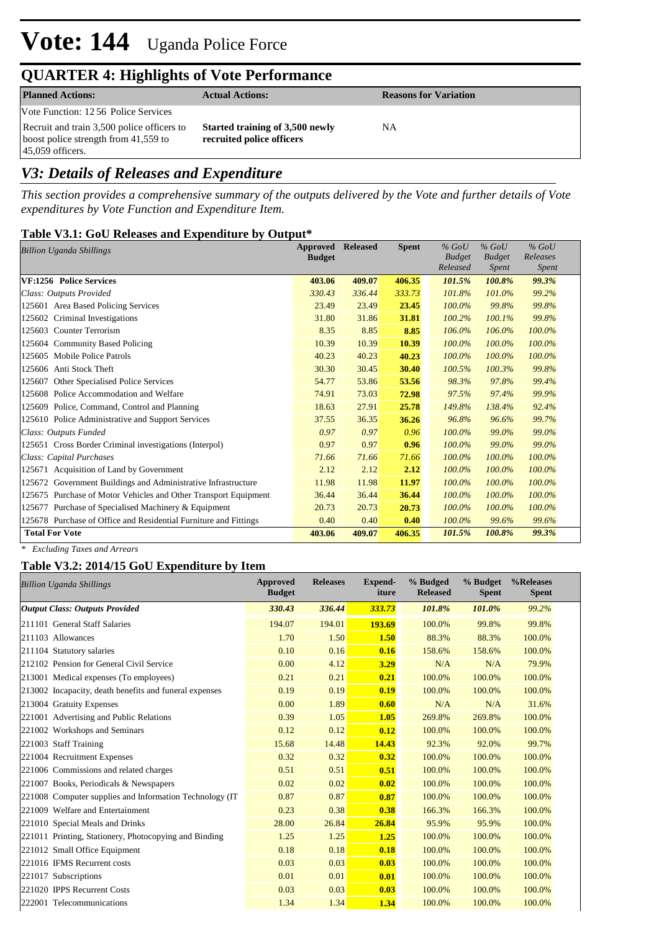### **QUARTER 4: Highlights of Vote Performance**

| <b>Planned Actions:</b>                                                                                  | <b>Actual Actions:</b>                                       | <b>Reasons for Variation</b> |
|----------------------------------------------------------------------------------------------------------|--------------------------------------------------------------|------------------------------|
| Vote Function: 1256 Police Services                                                                      |                                                              |                              |
| Recruit and train 3,500 police officers to<br>boost police strength from 41,559 to<br>$45,059$ officers. | Started training of 3,500 newly<br>recruited police officers | NА                           |

### *V3: Details of Releases and Expenditure*

*This section provides a comprehensive summary of the outputs delivered by the Vote and further details of Vote expenditures by Vote Function and Expenditure Item.*

#### **Table V3.1: GoU Releases and Expenditure by Output\***

| Approved<br><b>Billion Uganda Shillings</b>                      |        | <b>Released</b> | <b>Spent</b> | $%$ GoU<br><b>Budget</b><br>Released | $%$ GoU<br><b>Budget</b><br>Spent | $%$ GoU<br>Releases<br>Spent |
|------------------------------------------------------------------|--------|-----------------|--------------|--------------------------------------|-----------------------------------|------------------------------|
| VF:1256 Police Services                                          | 403.06 | 409.07          | 406.35       | 101.5%                               | 100.8%                            | 99.3%                        |
| Class: Outputs Provided                                          | 330.43 | 336.44          | 333.73       | 101.8%                               | 101.0%                            | 99.2%                        |
| 125601 Area Based Policing Services                              | 23.49  | 23.49           | 23.45        | 100.0%                               | 99.8%                             | 99.8%                        |
| 125602 Criminal Investigations                                   | 31.80  | 31.86           | 31.81        | 100.2%                               | 100.1%                            | 99.8%                        |
| 125603 Counter Terrorism                                         | 8.35   | 8.85            | 8.85         | 106.0%                               | 106.0%                            | 100.0%                       |
| 125604 Community Based Policing                                  | 10.39  | 10.39           | 10.39        | 100.0%                               | 100.0%                            | 100.0%                       |
| 125605 Mobile Police Patrols                                     | 40.23  | 40.23           | 40.23        | 100.0%                               | 100.0%                            | 100.0%                       |
| 125606 Anti Stock Theft                                          | 30.30  | 30.45           | 30.40        | 100.5%                               | 100.3%                            | 99.8%                        |
| Other Specialised Police Services<br>125607                      | 54.77  | 53.86           | 53.56        | 98.3%                                | 97.8%                             | 99.4%                        |
| 125608 Police Accommodation and Welfare                          | 74.91  | 73.03           | 72.98        | 97.5%                                | 97.4%                             | 99.9%                        |
| 125609 Police, Command, Control and Planning                     | 18.63  | 27.91           | 25.78        | 149.8%                               | 138.4%                            | 92.4%                        |
| 125610 Police Administrative and Support Services                | 37.55  | 36.35           | 36.26        | 96.8%                                | 96.6%                             | 99.7%                        |
| Class: Outputs Funded                                            | 0.97   | 0.97            | 0.96         | 100.0%                               | 99.0%                             | 99.0%                        |
| 125651 Cross Border Criminal investigations (Interpol)           | 0.97   | 0.97            | 0.96         | 100.0%                               | 99.0%                             | 99.0%                        |
| Class: Capital Purchases                                         | 71.66  | 71.66           | 71.66        | 100.0%                               | 100.0%                            | 100.0%                       |
| 125671 Acquisition of Land by Government                         | 2.12   | 2.12            | 2.12         | 100.0%                               | 100.0%                            | 100.0%                       |
| 125672 Government Buildings and Administrative Infrastructure    | 11.98  | 11.98           | 11.97        | 100.0%                               | 100.0%                            | 100.0%                       |
| 125675 Purchase of Motor Vehicles and Other Transport Equipment  | 36.44  | 36.44           | 36.44        | 100.0%                               | 100.0%                            | 100.0%                       |
| 125677 Purchase of Specialised Machinery & Equipment             | 20.73  | 20.73           | 20.73        | 100.0%                               | 100.0%                            | 100.0%                       |
| 125678 Purchase of Office and Residential Furniture and Fittings | 0.40   | 0.40            | 0.40         | 100.0%                               | 99.6%                             | 99.6%                        |
| <b>Total For Vote</b>                                            | 403.06 | 409.07          | 406.35       | 101.5%                               | 100.8%                            | 99.3%                        |

*\* Excluding Taxes and Arrears*

#### **Table V3.2: 2014/15 GoU Expenditure by Item**

| <b>Billion Uganda Shillings</b>                          | <b>Approved</b><br><b>Budget</b> | <b>Releases</b> | <b>Expend-</b><br>iture | % Budged<br><b>Released</b> | % Budget<br><b>Spent</b> | %Releases<br><b>Spent</b> |
|----------------------------------------------------------|----------------------------------|-----------------|-------------------------|-----------------------------|--------------------------|---------------------------|
| <b>Output Class: Outputs Provided</b>                    | 330.43                           | 336.44          | 333.73                  | 101.8%                      | 101.0%                   | 99.2%                     |
| 211101 General Staff Salaries                            | 194.07                           | 194.01          | 193.69                  | 100.0%                      | 99.8%                    | 99.8%                     |
| 211103 Allowances                                        | 1.70                             | 1.50            | 1.50                    | 88.3%                       | 88.3%                    | 100.0%                    |
| 211104 Statutory salaries                                | 0.10                             | 0.16            | 0.16                    | 158.6%                      | 158.6%                   | 100.0%                    |
| 212102 Pension for General Civil Service                 | 0.00                             | 4.12            | 3.29                    | N/A                         | N/A                      | 79.9%                     |
| 213001 Medical expenses (To employees)                   | 0.21                             | 0.21            | 0.21                    | 100.0%                      | 100.0%                   | 100.0%                    |
| 213002 Incapacity, death benefits and funeral expenses   | 0.19                             | 0.19            | 0.19                    | 100.0%                      | 100.0%                   | 100.0%                    |
| 213004 Gratuity Expenses                                 | 0.00                             | 1.89            | 0.60                    | N/A                         | N/A                      | 31.6%                     |
| 221001 Advertising and Public Relations                  | 0.39                             | 1.05            | 1.05                    | 269.8%                      | 269.8%                   | 100.0%                    |
| 221002 Workshops and Seminars                            | 0.12                             | 0.12            | 0.12                    | 100.0%                      | 100.0%                   | 100.0%                    |
| 221003 Staff Training                                    | 15.68                            | 14.48           | 14.43                   | 92.3%                       | 92.0%                    | 99.7%                     |
| 221004 Recruitment Expenses                              | 0.32                             | 0.32            | 0.32                    | 100.0%                      | 100.0%                   | 100.0%                    |
| 221006 Commissions and related charges                   | 0.51                             | 0.51            | 0.51                    | 100.0%                      | 100.0%                   | 100.0%                    |
| 221007 Books, Periodicals & Newspapers                   | 0.02                             | 0.02            | 0.02                    | 100.0%                      | 100.0%                   | 100.0%                    |
| 221008 Computer supplies and Information Technology (IT) | 0.87                             | 0.87            | 0.87                    | 100.0%                      | 100.0%                   | 100.0%                    |
| 221009 Welfare and Entertainment                         | 0.23                             | 0.38            | 0.38                    | 166.3%                      | 166.3%                   | 100.0%                    |
| 221010 Special Meals and Drinks                          | 28.00                            | 26.84           | 26.84                   | 95.9%                       | 95.9%                    | 100.0%                    |
| 221011 Printing, Stationery, Photocopying and Binding    | 1.25                             | 1.25            | 1.25                    | 100.0%                      | 100.0%                   | 100.0%                    |
| 221012 Small Office Equipment                            | 0.18                             | 0.18            | 0.18                    | 100.0%                      | 100.0%                   | 100.0%                    |
| 221016 IFMS Recurrent costs                              | 0.03                             | 0.03            | 0.03                    | 100.0%                      | 100.0%                   | 100.0%                    |
| 221017 Subscriptions                                     | 0.01                             | 0.01            | 0.01                    | 100.0%                      | 100.0%                   | 100.0%                    |
| 221020 IPPS Recurrent Costs                              | 0.03                             | 0.03            | 0.03                    | 100.0%                      | 100.0%                   | 100.0%                    |
| 222001 Telecommunications                                | 1.34                             | 1.34            | 1.34                    | 100.0%                      | 100.0%                   | 100.0%                    |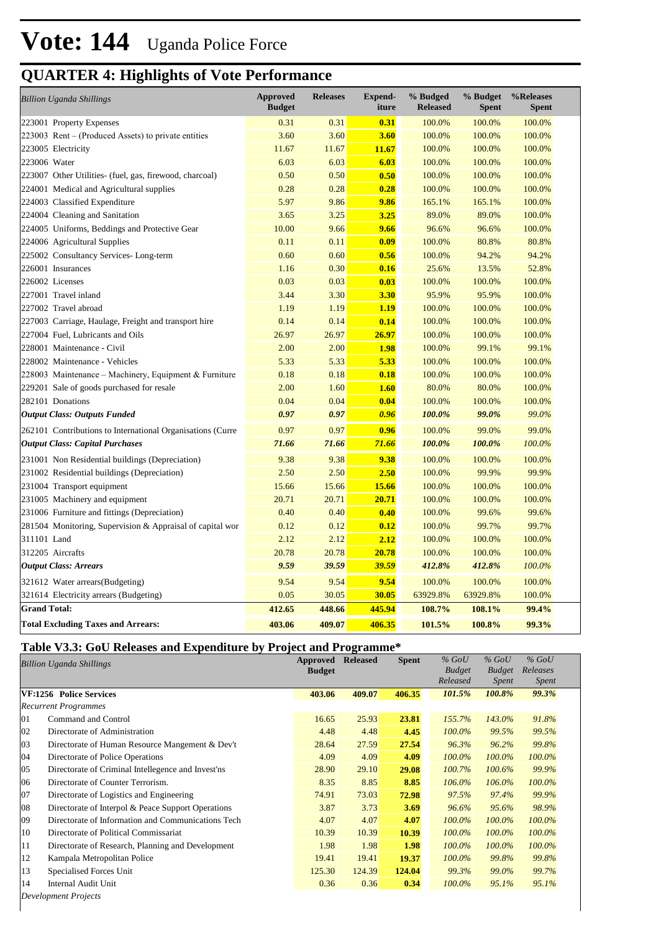| <b>Billion Uganda Shillings</b>                            | <b>Approved</b><br><b>Budget</b> | <b>Releases</b> | <b>Expend-</b><br>iture | % Budged<br><b>Released</b> | % Budget<br><b>Spent</b> | %Releases<br><b>Spent</b> |
|------------------------------------------------------------|----------------------------------|-----------------|-------------------------|-----------------------------|--------------------------|---------------------------|
| 223001 Property Expenses                                   | 0.31                             | 0.31            | 0.31                    | 100.0%                      | 100.0%                   | 100.0%                    |
| 223003 Rent – (Produced Assets) to private entities        | 3.60                             | 3.60            | 3.60                    | 100.0%                      | 100.0%                   | 100.0%                    |
| 223005 Electricity                                         | 11.67                            | 11.67           | 11.67                   | 100.0%                      | 100.0%                   | 100.0%                    |
| 223006 Water                                               | 6.03                             | 6.03            | 6.03                    | 100.0%                      | 100.0%                   | 100.0%                    |
| 223007 Other Utilities- (fuel, gas, firewood, charcoal)    | 0.50                             | 0.50            | 0.50                    | 100.0%                      | 100.0%                   | 100.0%                    |
| 224001 Medical and Agricultural supplies                   | 0.28                             | 0.28            | 0.28                    | 100.0%                      | 100.0%                   | 100.0%                    |
| 224003 Classified Expenditure                              | 5.97                             | 9.86            | 9.86                    | 165.1%                      | 165.1%                   | 100.0%                    |
| 224004 Cleaning and Sanitation                             | 3.65                             | 3.25            | 3.25                    | 89.0%                       | 89.0%                    | 100.0%                    |
| 224005 Uniforms, Beddings and Protective Gear              | 10.00                            | 9.66            | 9.66                    | 96.6%                       | 96.6%                    | 100.0%                    |
| 224006 Agricultural Supplies                               | 0.11                             | 0.11            | 0.09                    | 100.0%                      | 80.8%                    | 80.8%                     |
| 225002 Consultancy Services-Long-term                      | 0.60                             | 0.60            | 0.56                    | 100.0%                      | 94.2%                    | 94.2%                     |
| 226001 Insurances                                          | 1.16                             | 0.30            | 0.16                    | 25.6%                       | 13.5%                    | 52.8%                     |
| 226002 Licenses                                            | 0.03                             | 0.03            | 0.03                    | 100.0%                      | 100.0%                   | 100.0%                    |
| 227001 Travel inland                                       | 3.44                             | 3.30            | 3.30                    | 95.9%                       | 95.9%                    | 100.0%                    |
| 227002 Travel abroad                                       | 1.19                             | 1.19            | 1.19                    | 100.0%                      | 100.0%                   | 100.0%                    |
| 227003 Carriage, Haulage, Freight and transport hire       | 0.14                             | 0.14            | 0.14                    | 100.0%                      | 100.0%                   | 100.0%                    |
| 227004 Fuel, Lubricants and Oils                           | 26.97                            | 26.97           | 26.97                   | 100.0%                      | 100.0%                   | 100.0%                    |
| 228001 Maintenance - Civil                                 | 2.00                             | 2.00            | 1.98                    | 100.0%                      | 99.1%                    | 99.1%                     |
| 228002 Maintenance - Vehicles                              | 5.33                             | 5.33            | 5.33                    | 100.0%                      | 100.0%                   | 100.0%                    |
| 228003 Maintenance - Machinery, Equipment & Furniture      | 0.18                             | 0.18            | 0.18                    | 100.0%                      | 100.0%                   | 100.0%                    |
| 229201 Sale of goods purchased for resale                  | 2.00                             | 1.60            | <b>1.60</b>             | 80.0%                       | 80.0%                    | 100.0%                    |
| 282101 Donations                                           | 0.04                             | 0.04            | 0.04                    | 100.0%                      | 100.0%                   | 100.0%                    |
| <b>Output Class: Outputs Funded</b>                        | 0.97                             | 0.97            | 0.96                    | 100.0%                      | 99.0%                    | 99.0%                     |
| 262101 Contributions to International Organisations (Curre | 0.97                             | 0.97            | 0.96                    | 100.0%                      | 99.0%                    | 99.0%                     |
| <b>Output Class: Capital Purchases</b>                     | 71.66                            | 71.66           | 71.66                   | 100.0%                      | 100.0%                   | 100.0%                    |
| 231001 Non Residential buildings (Depreciation)            | 9.38                             | 9.38            | 9.38                    | 100.0%                      | 100.0%                   | 100.0%                    |
| 231002 Residential buildings (Depreciation)                | 2.50                             | 2.50            | 2.50                    | 100.0%                      | 99.9%                    | 99.9%                     |
| 231004 Transport equipment                                 | 15.66                            | 15.66           | 15.66                   | 100.0%                      | 100.0%                   | 100.0%                    |
| 231005 Machinery and equipment                             | 20.71                            | 20.71           | 20.71                   | 100.0%                      | 100.0%                   | 100.0%                    |
| 231006 Furniture and fittings (Depreciation)               | 0.40                             | 0.40            | 0.40                    | 100.0%                      | 99.6%                    | 99.6%                     |
| 281504 Monitoring, Supervision & Appraisal of capital wor  | 0.12                             | 0.12            | 0.12                    | 100.0%                      | 99.7%                    | 99.7%                     |
| 311101 Land                                                | 2.12                             | 2.12            | 2.12                    | 100.0%                      | 100.0%                   | 100.0%                    |
| 312205 Aircrafts                                           | 20.78                            | 20.78           | 20.78                   | 100.0%                      | 100.0%                   | 100.0%                    |
| <b>Output Class: Arrears</b>                               | 9.59                             | 39.59           | 39.59                   | 412.8%                      | 412.8%                   | 100.0%                    |
| 321612 Water arrears(Budgeting)                            | 9.54                             | 9.54            | 9.54                    | 100.0%                      | 100.0%                   | 100.0%                    |
| 321614 Electricity arrears (Budgeting)                     | 0.05                             | 30.05           | 30.05                   | 63929.8%                    | 63929.8%                 | 100.0%                    |
| <b>Grand Total:</b>                                        | 412.65                           | 448.66          | 445.94                  | 108.7%                      | 108.1%                   | 99.4%                     |
| <b>Total Excluding Taxes and Arrears:</b>                  | 403.06                           | 409.07          | 406.35                  | 101.5%                      | 100.8%                   | 99.3%                     |

#### **Table V3.3: GoU Releases and Expenditure by Project and Programme\***

| <b>Billion Uganda Shillings</b> |                                                    | Approved      | <b>Released</b> | <b>Spent</b> | $%$ GoU       | $%$ GoU       | $%$ GoU      |  |
|---------------------------------|----------------------------------------------------|---------------|-----------------|--------------|---------------|---------------|--------------|--|
|                                 |                                                    | <b>Budget</b> |                 |              | <b>Budget</b> | <b>Budget</b> | Releases     |  |
|                                 |                                                    |               |                 |              | Released      | <i>Spent</i>  | <i>Spent</i> |  |
| VF:1256 Police Services         |                                                    | 403.06        | 409.07          | 406.35       | 101.5%        | 100.8%        | 99.3%        |  |
|                                 | <b>Recurrent Programmes</b>                        |               |                 |              |               |               |              |  |
| 01                              | Command and Control                                | 16.65         | 25.93           | 23.81        | 155.7%        | 143.0%        | 91.8%        |  |
| 02                              | Directorate of Administration                      | 4.48          | 4.48            | 4.45         | $100.0\%$     | 99.5%         | 99.5%        |  |
| 03                              | Directorate of Human Resource Mangement & Dev't    | 28.64         | 27.59           | 27.54        | 96.3%         | 96.2%         | 99.8%        |  |
| 04                              | Directorate of Police Operations                   | 4.09          | 4.09            | 4.09         | $100.0\%$     | $100.0\%$     | $100.0\%$    |  |
| 05                              | Directorate of Criminal Intellegence and Invest'ns | 28.90         | 29.10           | 29.08        | 100.7%        | 100.6%        | 99.9%        |  |
| 06                              | Directorate of Counter Terrorism.                  | 8.35          | 8.85            | 8.85         | 106.0%        | 106.0%        | 100.0%       |  |
| 07                              | Directorate of Logistics and Engineering           | 74.91         | 73.03           | 72.98        | 97.5%         | 97.4%         | 99.9%        |  |
| 08                              | Directorate of Interpol & Peace Support Operations | 3.87          | 3.73            | 3.69         | 96.6%         | 95.6%         | 98.9%        |  |
| 09                              | Directorate of Information and Communications Tech | 4.07          | 4.07            | 4.07         | $100.0\%$     | 100.0%        | 100.0%       |  |
| 10                              | Directorate of Political Commissariat              | 10.39         | 10.39           | 10.39        | 100.0%        | 100.0%        | 100.0%       |  |
| 11                              | Directorate of Research, Planning and Development  | 1.98          | 1.98            | 1.98         | $100.0\%$     | $100.0\%$     | $100.0\%$    |  |
| 12                              | Kampala Metropolitan Police                        | 19.41         | 19.41           | 19.37        | $100.0\%$     | 99.8%         | 99.8%        |  |
| 13                              | Specialised Forces Unit                            | 125.30        | 124.39          | 124.04       | 99.3%         | 99.0%         | 99.7%        |  |
| 14                              | Internal Audit Unit                                | 0.36          | 0.36            | 0.34         | $100.0\%$     | 95.1%         | 95.1%        |  |
|                                 |                                                    |               |                 |              |               |               |              |  |

*Development Projects*